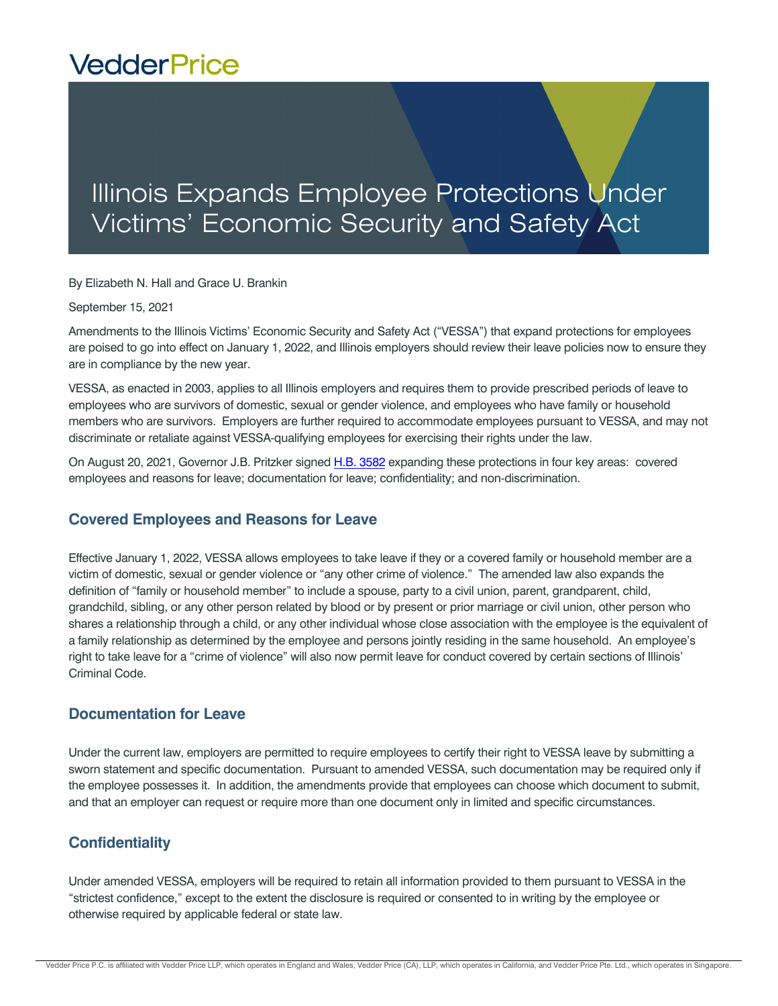# **VedderPrice**

# Illinois Expands Employee Protections Under Victims' Economic Security and Safety Act

By Elizabeth N. Hall and Grace U. Brankin

September 15, 2021

Amendments to the Illinois Victims' Economic Security and Safety Act ("VESSA") that expand protections for employees are poised to go into effect on January 1, 2022, and Illinois employers should review their leave policies now to ensure they are in compliance by the new year.

VESSA, as enacted in 2003, applies to all Illinois employers and requires them to provide prescribed periods of leave to employees who are survivors of domestic, sexual or gender violence, and employees who have family or household members who are survivors. Employers are further required to accommodate employees pursuant to VESSA, and may not discriminate or retaliate against VESSA-qualifying employees for exercising their rights under the law.

On August 20, 2021, Governor J.B. Pritzker signed [H.B. 3582 ex](https://www.ilga.gov/legislation/fulltext.asp?DocName=10200HB3582lv&SessionID=110&GA=102&DocTypeID=HB&DocNum=3582&print=true)panding these protections in four key areas: covered employees and reasons for leave; documentation for leave; confidentiality; and non-discrimination.

#### **Covered Employees and Reasons for Leave**

Effective January 1, 2022, VESSA allows employees to take leave if they or a covered family or household member are a victim of domestic, sexual or gender violence or "any other crime of violence." The amended law also expands the definition of "family or household member" to include a spouse, party to a civil union, parent, grandparent, child, grandchild, sibling, or any other person related by blood or by present or prior marriage or civil union, other person who shares a relationship through a child, or any other individual whose close association with the employee is the equivalent of a family relationship as determined by the employee and persons jointly residing in the same household. An employee's right to take leave for a "crime of violence" will also now permit leave for conduct covered by certain sections of Illinois' Criminal Code.

#### **Documentation for Leave**

Under the current law, employers are permitted to require employees to certify their right to VESSA leave by submitting a sworn statement and specific documentation. Pursuant to amended VESSA, such documentation may be required only if the employee possesses it. In addition, the amendments provide that employees can choose which document to submit, and that an employer can request or require more than one document only in limited and specific circumstances.

### **Confidentiality**

Under amended VESSA, employers will be required to retain all information provided to them pursuant to VESSA in the "strictest confidence," except to the extent the disclosure is required or consented to in writing by the employee or otherwise required by applicable federal or state law.